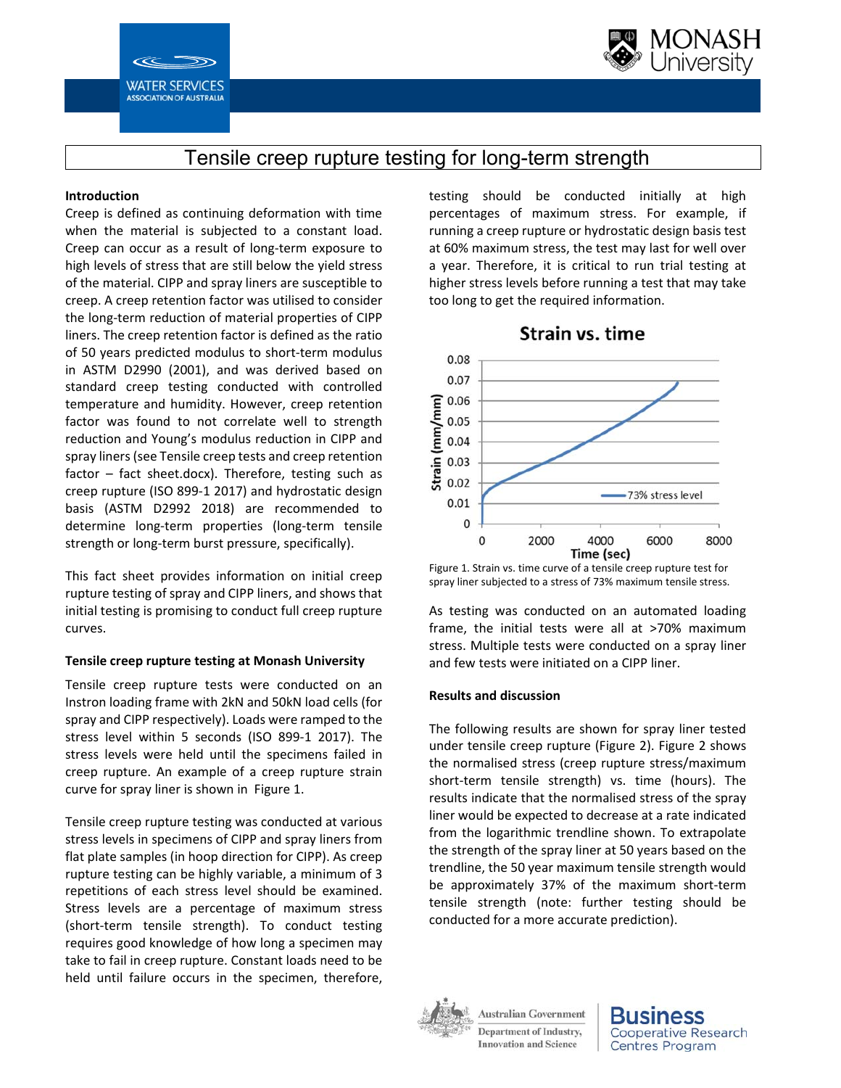



# Tensile creep rupture testing for long-term strength

### **Introduction**

Creep is defined as continuing deformation with time when the material is subjected to a constant load. Creep can occur as a result of long‐term exposure to high levels of stress that are still below the yield stress of the material. CIPP and spray liners are susceptible to creep. A creep retention factor was utilised to consider the long‐term reduction of material properties of CIPP liners. The creep retention factor is defined as the ratio of 50 years predicted modulus to short‐term modulus in ASTM D2990 (2001), and was derived based on standard creep testing conducted with controlled temperature and humidity. However, creep retention factor was found to not correlate well to strength reduction and Young's modulus reduction in CIPP and spray liners (see Tensile creep tests and creep retention  $factor - fact sheet.docx$ ). Therefore, testing such as creep rupture (ISO 899‐1 2017) and hydrostatic design basis (ASTM D2992 2018) are recommended to determine long‐term properties (long‐term tensile strength or long‐term burst pressure, specifically).

This fact sheet provides information on initial creep rupture testing of spray and CIPP liners, and shows that initial testing is promising to conduct full creep rupture curves.

## **Tensile creep rupture testing at Monash University**

Tensile creep rupture tests were conducted on an Instron loading frame with 2kN and 50kN load cells (for spray and CIPP respectively). Loads were ramped to the stress level within 5 seconds (ISO 899‐1 2017). The stress levels were held until the specimens failed in creep rupture. An example of a creep rupture strain curve for spray liner is shown in Figure 1.

Tensile creep rupture testing was conducted at various stress levels in specimens of CIPP and spray liners from flat plate samples (in hoop direction for CIPP). As creep rupture testing can be highly variable, a minimum of 3 repetitions of each stress level should be examined. Stress levels are a percentage of maximum stress (short‐term tensile strength). To conduct testing requires good knowledge of how long a specimen may take to fail in creep rupture. Constant loads need to be held until failure occurs in the specimen, therefore,

testing should be conducted initially at high percentages of maximum stress. For example, if running a creep rupture or hydrostatic design basis test at 60% maximum stress, the test may last for well over a year. Therefore, it is critical to run trial testing at higher stress levels before running a test that may take too long to get the required information.



Figure 1. Strain vs. time curve of a tensile creep rupture test for spray liner subjected to a stress of 73% maximum tensile stress.

As testing was conducted on an automated loading frame, the initial tests were all at >70% maximum stress. Multiple tests were conducted on a spray liner and few tests were initiated on a CIPP liner.

#### **Results and discussion**

The following results are shown for spray liner tested under tensile creep rupture (Figure 2). Figure 2 shows the normalised stress (creep rupture stress/maximum short-term tensile strength) vs. time (hours). The results indicate that the normalised stress of the spray liner would be expected to decrease at a rate indicated from the logarithmic trendline shown. To extrapolate the strength of the spray liner at 50 years based on the trendline, the 50 year maximum tensile strength would be approximately 37% of the maximum short‐term tensile strength (note: further testing should be conducted for a more accurate prediction).



**Australian Government Department of Industry, Innovation and Science**